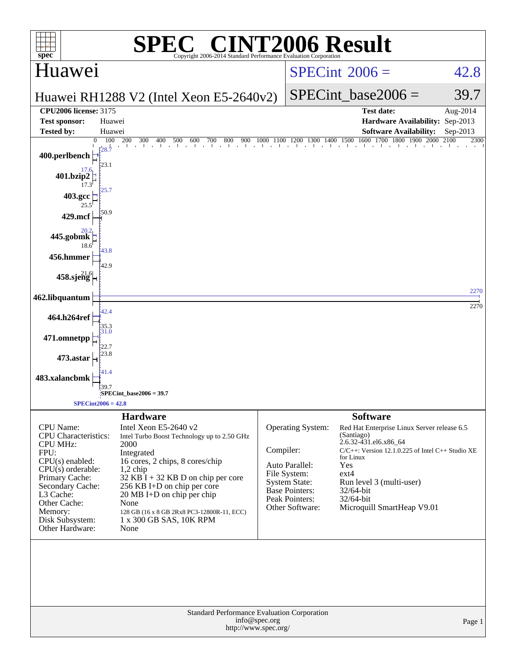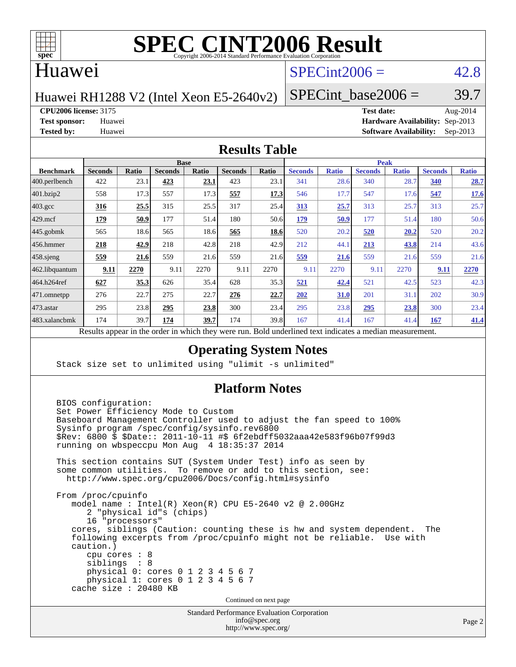

#### Huawei

### $SPECint2006 = 42.8$  $SPECint2006 = 42.8$

Huawei RH1288 V2 (Intel Xeon E5-2640v2)

SPECint base2006 =  $39.7$ 

**[CPU2006 license:](http://www.spec.org/auto/cpu2006/Docs/result-fields.html#CPU2006license)** 3175 **[Test date:](http://www.spec.org/auto/cpu2006/Docs/result-fields.html#Testdate)** Aug-2014

**[Test sponsor:](http://www.spec.org/auto/cpu2006/Docs/result-fields.html#Testsponsor)** Huawei **[Hardware Availability:](http://www.spec.org/auto/cpu2006/Docs/result-fields.html#HardwareAvailability)** Sep-2013 **[Tested by:](http://www.spec.org/auto/cpu2006/Docs/result-fields.html#Testedby)** Huawei **[Software Availability:](http://www.spec.org/auto/cpu2006/Docs/result-fields.html#SoftwareAvailability)** Sep-2013

#### **[Results Table](http://www.spec.org/auto/cpu2006/Docs/result-fields.html#ResultsTable)**

|                    | <b>Base</b>                                                                                              |       |                |       |                |       | <b>Peak</b>    |              |                |              |                |              |
|--------------------|----------------------------------------------------------------------------------------------------------|-------|----------------|-------|----------------|-------|----------------|--------------|----------------|--------------|----------------|--------------|
| <b>Benchmark</b>   | <b>Seconds</b>                                                                                           | Ratio | <b>Seconds</b> | Ratio | <b>Seconds</b> | Ratio | <b>Seconds</b> | <b>Ratio</b> | <b>Seconds</b> | <b>Ratio</b> | <b>Seconds</b> | <b>Ratio</b> |
| $ 400$ .perlbench  | 422                                                                                                      | 23.1  | 423            | 23.1  | 423            | 23.1  | 341            | 28.6         | 340            | 28.7         | 340            | 28.7         |
| 401.bzip2          | 558                                                                                                      | 17.3  | 557            | 17.3  | 557            | 17.3  | 546            | 17.7         | 547            | 17.6         | 547            | 17.6         |
| $403.\mathrm{gcc}$ | <u>316</u>                                                                                               | 25.5  | 315            | 25.5  | 317            | 25.4  | 313            | 25.7         | 313            | 25.7         | 313            | 25.7         |
| $429$ .mcf         | 179                                                                                                      | 50.9  | 177            | 51.4  | 180            | 50.6  | 179            | 50.9         | 177            | 51.4         | 180            | 50.6         |
| $445$ .gobmk       | 565                                                                                                      | 18.6  | 565            | 18.6  | 565            | 18.6  | 520            | 20.2         | 520            | 20.2         | 520            | 20.2         |
| $456.$ hmmer       | 218                                                                                                      | 42.9  | 218            | 42.8  | 218            | 42.9  | 212            | 44.1         | 213            | 43.8         | 214            | 43.6         |
| $458$ .sjeng       | 559                                                                                                      | 21.6  | 559            | 21.6  | 559            | 21.6  | 559            | 21.6         | 559            | 21.6         | 559            | 21.6         |
| 462.libquantum     | 9.11                                                                                                     | 2270  | 9.11           | 2270  | 9.11           | 2270  | 9.11           | 2270         | 9.11           | 2270         | 9.11           | 2270         |
| 464.h264ref        | 627                                                                                                      | 35.3  | 626            | 35.4  | 628            | 35.3  | 521            | 42.4         | 521            | 42.5         | 523            | 42.3         |
| 471.omnetpp        | 276                                                                                                      | 22.7  | 275            | 22.7  | 276            | 22.7  | 202            | <b>31.0</b>  | 201            | 31.1         | 202            | 30.9         |
| 473.astar          | 295                                                                                                      | 23.8  | 295            | 23.8  | 300            | 23.4  | 295            | 23.8         | 295            | 23.8         | 300            | 23.4         |
| 483.xalancbmk      | 174                                                                                                      | 39.7  | 174            | 39.7  | 174            | 39.8  | 167            | 41.4         | 167            | 41.4         | 167            | 41.4         |
|                    | Results appear in the order in which they were run. Bold underlined text indicates a median measurement. |       |                |       |                |       |                |              |                |              |                |              |

**[Operating System Notes](http://www.spec.org/auto/cpu2006/Docs/result-fields.html#OperatingSystemNotes)**

Stack size set to unlimited using "ulimit -s unlimited"

#### **[Platform Notes](http://www.spec.org/auto/cpu2006/Docs/result-fields.html#PlatformNotes)**

Standard Performance Evaluation Corporation [info@spec.org](mailto:info@spec.org) BIOS configuration: Set Power Efficiency Mode to Custom Baseboard Management Controller used to adjust the fan speed to 100% Sysinfo program /spec/config/sysinfo.rev6800 \$Rev: 6800 \$ \$Date:: 2011-10-11 #\$ 6f2ebdff5032aaa42e583f96b07f99d3 running on wbspeccpu Mon Aug 4 18:35:37 2014 This section contains SUT (System Under Test) info as seen by some common utilities. To remove or add to this section, see: <http://www.spec.org/cpu2006/Docs/config.html#sysinfo> From /proc/cpuinfo model name : Intel(R) Xeon(R) CPU E5-2640 v2 @ 2.00GHz 2 "physical id"s (chips) 16 "processors" cores, siblings (Caution: counting these is hw and system dependent. The following excerpts from /proc/cpuinfo might not be reliable. Use with caution.) cpu cores : 8 siblings : 8 physical 0: cores 0 1 2 3 4 5 6 7 physical 1: cores 0 1 2 3 4 5 6 7 cache size : 20480 KB Continued on next page

<http://www.spec.org/>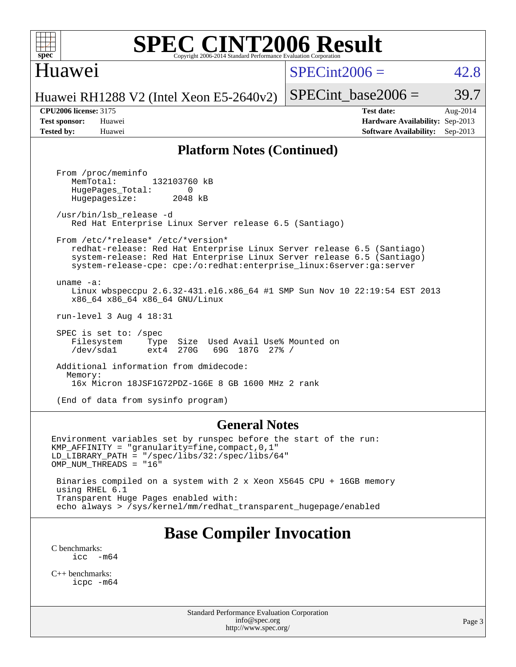

#### Huawei

 $SPECint2006 = 42.8$  $SPECint2006 = 42.8$ 

Huawei RH1288 V2 (Intel Xeon E5-2640v2)

SPECint base2006 =  $39.7$ 

**[CPU2006 license:](http://www.spec.org/auto/cpu2006/Docs/result-fields.html#CPU2006license)** 3175 **[Test date:](http://www.spec.org/auto/cpu2006/Docs/result-fields.html#Testdate)** Aug-2014 **[Test sponsor:](http://www.spec.org/auto/cpu2006/Docs/result-fields.html#Testsponsor)** Huawei **[Hardware Availability:](http://www.spec.org/auto/cpu2006/Docs/result-fields.html#HardwareAvailability)** Sep-2013 **[Tested by:](http://www.spec.org/auto/cpu2006/Docs/result-fields.html#Testedby)** Huawei **[Software Availability:](http://www.spec.org/auto/cpu2006/Docs/result-fields.html#SoftwareAvailability)** Sep-2013

#### **[Platform Notes \(Continued\)](http://www.spec.org/auto/cpu2006/Docs/result-fields.html#PlatformNotes)**

 From /proc/meminfo MemTotal: 132103760 kB HugePages\_Total: 0<br>Hugepagesize: 2048 kB Hugepagesize: /usr/bin/lsb\_release -d Red Hat Enterprise Linux Server release 6.5 (Santiago) From /etc/\*release\* /etc/\*version\* redhat-release: Red Hat Enterprise Linux Server release 6.5 (Santiago) system-release: Red Hat Enterprise Linux Server release 6.5 (Santiago) system-release-cpe: cpe:/o:redhat:enterprise\_linux:6server:ga:server uname -a: Linux wbspeccpu 2.6.32-431.el6.x86\_64 #1 SMP Sun Nov 10 22:19:54 EST 2013 x86\_64 x86\_64 x86\_64 GNU/Linux run-level 3 Aug 4 18:31 SPEC is set to: /spec Filesystem Type Size Used Avail Use% Mounted on<br>
/dev/sdal ext4 270G 69G 187G 27% / /dev/sda1 ext4 270G 69G 187G 27% / Additional information from dmidecode: Memory: 16x Micron 18JSF1G72PDZ-1G6E 8 GB 1600 MHz 2 rank (End of data from sysinfo program)

#### **[General Notes](http://www.spec.org/auto/cpu2006/Docs/result-fields.html#GeneralNotes)**

Environment variables set by runspec before the start of the run: KMP\_AFFINITY = "granularity=fine,compact,0,1" LD\_LIBRARY\_PATH = "/spec/libs/32:/spec/libs/64" OMP\_NUM\_THREADS = "16" Binaries compiled on a system with 2 x Xeon X5645 CPU + 16GB memory using RHEL 6.1

 Transparent Huge Pages enabled with: echo always > /sys/kernel/mm/redhat\_transparent\_hugepage/enabled

# **[Base Compiler Invocation](http://www.spec.org/auto/cpu2006/Docs/result-fields.html#BaseCompilerInvocation)**

[C benchmarks](http://www.spec.org/auto/cpu2006/Docs/result-fields.html#Cbenchmarks):  $\text{icc}$   $-\text{m64}$ 

[C++ benchmarks:](http://www.spec.org/auto/cpu2006/Docs/result-fields.html#CXXbenchmarks) [icpc -m64](http://www.spec.org/cpu2006/results/res2014q3/cpu2006-20140811-30888.flags.html#user_CXXbase_intel_icpc_64bit_fc66a5337ce925472a5c54ad6a0de310)

> Standard Performance Evaluation Corporation [info@spec.org](mailto:info@spec.org) <http://www.spec.org/>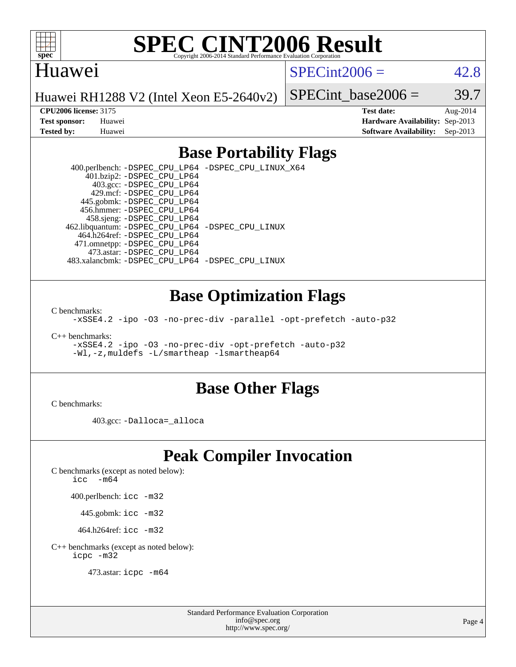

#### Huawei

 $SPECint2006 = 42.8$  $SPECint2006 = 42.8$ 

Huawei RH1288 V2 (Intel Xeon E5-2640v2)

SPECint base2006 =  $39.7$ 

**[CPU2006 license:](http://www.spec.org/auto/cpu2006/Docs/result-fields.html#CPU2006license)** 3175 **[Test date:](http://www.spec.org/auto/cpu2006/Docs/result-fields.html#Testdate)** Aug-2014 **[Test sponsor:](http://www.spec.org/auto/cpu2006/Docs/result-fields.html#Testsponsor)** Huawei **[Hardware Availability:](http://www.spec.org/auto/cpu2006/Docs/result-fields.html#HardwareAvailability)** Sep-2013 **[Tested by:](http://www.spec.org/auto/cpu2006/Docs/result-fields.html#Testedby)** Huawei **[Software Availability:](http://www.spec.org/auto/cpu2006/Docs/result-fields.html#SoftwareAvailability)** Sep-2013

### **[Base Portability Flags](http://www.spec.org/auto/cpu2006/Docs/result-fields.html#BasePortabilityFlags)**

 400.perlbench: [-DSPEC\\_CPU\\_LP64](http://www.spec.org/cpu2006/results/res2014q3/cpu2006-20140811-30888.flags.html#b400.perlbench_basePORTABILITY_DSPEC_CPU_LP64) [-DSPEC\\_CPU\\_LINUX\\_X64](http://www.spec.org/cpu2006/results/res2014q3/cpu2006-20140811-30888.flags.html#b400.perlbench_baseCPORTABILITY_DSPEC_CPU_LINUX_X64) 401.bzip2: [-DSPEC\\_CPU\\_LP64](http://www.spec.org/cpu2006/results/res2014q3/cpu2006-20140811-30888.flags.html#suite_basePORTABILITY401_bzip2_DSPEC_CPU_LP64) 403.gcc: [-DSPEC\\_CPU\\_LP64](http://www.spec.org/cpu2006/results/res2014q3/cpu2006-20140811-30888.flags.html#suite_basePORTABILITY403_gcc_DSPEC_CPU_LP64) 429.mcf: [-DSPEC\\_CPU\\_LP64](http://www.spec.org/cpu2006/results/res2014q3/cpu2006-20140811-30888.flags.html#suite_basePORTABILITY429_mcf_DSPEC_CPU_LP64) 445.gobmk: [-DSPEC\\_CPU\\_LP64](http://www.spec.org/cpu2006/results/res2014q3/cpu2006-20140811-30888.flags.html#suite_basePORTABILITY445_gobmk_DSPEC_CPU_LP64) 456.hmmer: [-DSPEC\\_CPU\\_LP64](http://www.spec.org/cpu2006/results/res2014q3/cpu2006-20140811-30888.flags.html#suite_basePORTABILITY456_hmmer_DSPEC_CPU_LP64) 458.sjeng: [-DSPEC\\_CPU\\_LP64](http://www.spec.org/cpu2006/results/res2014q3/cpu2006-20140811-30888.flags.html#suite_basePORTABILITY458_sjeng_DSPEC_CPU_LP64) 462.libquantum: [-DSPEC\\_CPU\\_LP64](http://www.spec.org/cpu2006/results/res2014q3/cpu2006-20140811-30888.flags.html#suite_basePORTABILITY462_libquantum_DSPEC_CPU_LP64) [-DSPEC\\_CPU\\_LINUX](http://www.spec.org/cpu2006/results/res2014q3/cpu2006-20140811-30888.flags.html#b462.libquantum_baseCPORTABILITY_DSPEC_CPU_LINUX) 464.h264ref: [-DSPEC\\_CPU\\_LP64](http://www.spec.org/cpu2006/results/res2014q3/cpu2006-20140811-30888.flags.html#suite_basePORTABILITY464_h264ref_DSPEC_CPU_LP64) 471.omnetpp: [-DSPEC\\_CPU\\_LP64](http://www.spec.org/cpu2006/results/res2014q3/cpu2006-20140811-30888.flags.html#suite_basePORTABILITY471_omnetpp_DSPEC_CPU_LP64) 473.astar: [-DSPEC\\_CPU\\_LP64](http://www.spec.org/cpu2006/results/res2014q3/cpu2006-20140811-30888.flags.html#suite_basePORTABILITY473_astar_DSPEC_CPU_LP64) 483.xalancbmk: [-DSPEC\\_CPU\\_LP64](http://www.spec.org/cpu2006/results/res2014q3/cpu2006-20140811-30888.flags.html#suite_basePORTABILITY483_xalancbmk_DSPEC_CPU_LP64) [-DSPEC\\_CPU\\_LINUX](http://www.spec.org/cpu2006/results/res2014q3/cpu2006-20140811-30888.flags.html#b483.xalancbmk_baseCXXPORTABILITY_DSPEC_CPU_LINUX)

#### **[Base Optimization Flags](http://www.spec.org/auto/cpu2006/Docs/result-fields.html#BaseOptimizationFlags)**

[C benchmarks](http://www.spec.org/auto/cpu2006/Docs/result-fields.html#Cbenchmarks):

[-xSSE4.2](http://www.spec.org/cpu2006/results/res2014q3/cpu2006-20140811-30888.flags.html#user_CCbase_f-xSSE42_f91528193cf0b216347adb8b939d4107) [-ipo](http://www.spec.org/cpu2006/results/res2014q3/cpu2006-20140811-30888.flags.html#user_CCbase_f-ipo) [-O3](http://www.spec.org/cpu2006/results/res2014q3/cpu2006-20140811-30888.flags.html#user_CCbase_f-O3) [-no-prec-div](http://www.spec.org/cpu2006/results/res2014q3/cpu2006-20140811-30888.flags.html#user_CCbase_f-no-prec-div) [-parallel](http://www.spec.org/cpu2006/results/res2014q3/cpu2006-20140811-30888.flags.html#user_CCbase_f-parallel) [-opt-prefetch](http://www.spec.org/cpu2006/results/res2014q3/cpu2006-20140811-30888.flags.html#user_CCbase_f-opt-prefetch) [-auto-p32](http://www.spec.org/cpu2006/results/res2014q3/cpu2006-20140811-30888.flags.html#user_CCbase_f-auto-p32)

[C++ benchmarks:](http://www.spec.org/auto/cpu2006/Docs/result-fields.html#CXXbenchmarks)

[-xSSE4.2](http://www.spec.org/cpu2006/results/res2014q3/cpu2006-20140811-30888.flags.html#user_CXXbase_f-xSSE42_f91528193cf0b216347adb8b939d4107) [-ipo](http://www.spec.org/cpu2006/results/res2014q3/cpu2006-20140811-30888.flags.html#user_CXXbase_f-ipo) [-O3](http://www.spec.org/cpu2006/results/res2014q3/cpu2006-20140811-30888.flags.html#user_CXXbase_f-O3) [-no-prec-div](http://www.spec.org/cpu2006/results/res2014q3/cpu2006-20140811-30888.flags.html#user_CXXbase_f-no-prec-div) [-opt-prefetch](http://www.spec.org/cpu2006/results/res2014q3/cpu2006-20140811-30888.flags.html#user_CXXbase_f-opt-prefetch) [-auto-p32](http://www.spec.org/cpu2006/results/res2014q3/cpu2006-20140811-30888.flags.html#user_CXXbase_f-auto-p32) [-Wl,-z,muldefs](http://www.spec.org/cpu2006/results/res2014q3/cpu2006-20140811-30888.flags.html#user_CXXbase_link_force_multiple1_74079c344b956b9658436fd1b6dd3a8a) [-L/smartheap -lsmartheap64](http://www.spec.org/cpu2006/results/res2014q3/cpu2006-20140811-30888.flags.html#user_CXXbase_SmartHeap64_5e654037dadeae1fe403ab4b4466e60b)

#### **[Base Other Flags](http://www.spec.org/auto/cpu2006/Docs/result-fields.html#BaseOtherFlags)**

[C benchmarks](http://www.spec.org/auto/cpu2006/Docs/result-fields.html#Cbenchmarks):

403.gcc: [-Dalloca=\\_alloca](http://www.spec.org/cpu2006/results/res2014q3/cpu2006-20140811-30888.flags.html#b403.gcc_baseEXTRA_CFLAGS_Dalloca_be3056838c12de2578596ca5467af7f3)

# **[Peak Compiler Invocation](http://www.spec.org/auto/cpu2006/Docs/result-fields.html#PeakCompilerInvocation)**

[C benchmarks \(except as noted below\)](http://www.spec.org/auto/cpu2006/Docs/result-fields.html#Cbenchmarksexceptasnotedbelow):

[icc -m64](http://www.spec.org/cpu2006/results/res2014q3/cpu2006-20140811-30888.flags.html#user_CCpeak_intel_icc_64bit_f346026e86af2a669e726fe758c88044)

400.perlbench: [icc -m32](http://www.spec.org/cpu2006/results/res2014q3/cpu2006-20140811-30888.flags.html#user_peakCCLD400_perlbench_intel_icc_a6a621f8d50482236b970c6ac5f55f93)

445.gobmk: [icc -m32](http://www.spec.org/cpu2006/results/res2014q3/cpu2006-20140811-30888.flags.html#user_peakCCLD445_gobmk_intel_icc_a6a621f8d50482236b970c6ac5f55f93)

464.h264ref: [icc -m32](http://www.spec.org/cpu2006/results/res2014q3/cpu2006-20140811-30888.flags.html#user_peakCCLD464_h264ref_intel_icc_a6a621f8d50482236b970c6ac5f55f93)

[C++ benchmarks \(except as noted below\):](http://www.spec.org/auto/cpu2006/Docs/result-fields.html#CXXbenchmarksexceptasnotedbelow) [icpc -m32](http://www.spec.org/cpu2006/results/res2014q3/cpu2006-20140811-30888.flags.html#user_CXXpeak_intel_icpc_4e5a5ef1a53fd332b3c49e69c3330699)

473.astar: [icpc -m64](http://www.spec.org/cpu2006/results/res2014q3/cpu2006-20140811-30888.flags.html#user_peakCXXLD473_astar_intel_icpc_64bit_fc66a5337ce925472a5c54ad6a0de310)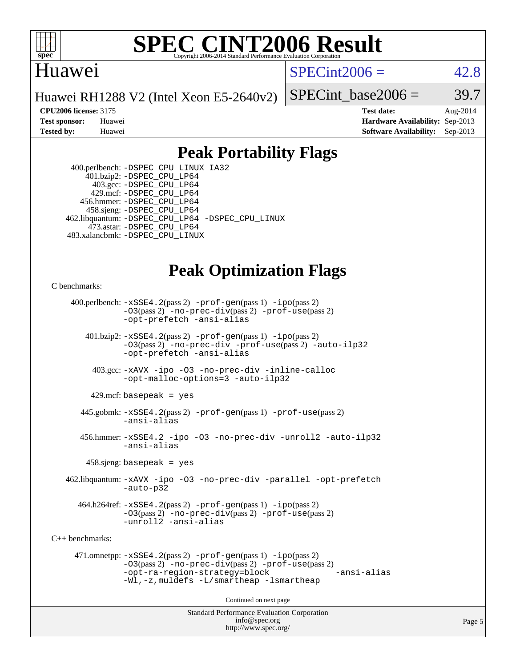

#### **[SPEC CINT2006 Result](http://www.spec.org/auto/cpu2006/Docs/result-fields.html#SPECCINT2006Result)** Copyright 2006-2014 Standard Performance Evaluation C

#### Huawei

 $SPECint2006 = 42.8$  $SPECint2006 = 42.8$ 

Huawei RH1288 V2 (Intel Xeon E5-2640v2)

SPECint base2006 =  $39.7$ 

**[CPU2006 license:](http://www.spec.org/auto/cpu2006/Docs/result-fields.html#CPU2006license)** 3175 **[Test date:](http://www.spec.org/auto/cpu2006/Docs/result-fields.html#Testdate)** Aug-2014 **[Test sponsor:](http://www.spec.org/auto/cpu2006/Docs/result-fields.html#Testsponsor)** Huawei **[Hardware Availability:](http://www.spec.org/auto/cpu2006/Docs/result-fields.html#HardwareAvailability)** Sep-2013 **[Tested by:](http://www.spec.org/auto/cpu2006/Docs/result-fields.html#Testedby)** Huawei **[Software Availability:](http://www.spec.org/auto/cpu2006/Docs/result-fields.html#SoftwareAvailability)** Sep-2013

### **[Peak Portability Flags](http://www.spec.org/auto/cpu2006/Docs/result-fields.html#PeakPortabilityFlags)**

 400.perlbench: [-DSPEC\\_CPU\\_LINUX\\_IA32](http://www.spec.org/cpu2006/results/res2014q3/cpu2006-20140811-30888.flags.html#b400.perlbench_peakCPORTABILITY_DSPEC_CPU_LINUX_IA32) 401.bzip2: [-DSPEC\\_CPU\\_LP64](http://www.spec.org/cpu2006/results/res2014q3/cpu2006-20140811-30888.flags.html#suite_peakPORTABILITY401_bzip2_DSPEC_CPU_LP64) 403.gcc: [-DSPEC\\_CPU\\_LP64](http://www.spec.org/cpu2006/results/res2014q3/cpu2006-20140811-30888.flags.html#suite_peakPORTABILITY403_gcc_DSPEC_CPU_LP64) 429.mcf: [-DSPEC\\_CPU\\_LP64](http://www.spec.org/cpu2006/results/res2014q3/cpu2006-20140811-30888.flags.html#suite_peakPORTABILITY429_mcf_DSPEC_CPU_LP64) 456.hmmer: [-DSPEC\\_CPU\\_LP64](http://www.spec.org/cpu2006/results/res2014q3/cpu2006-20140811-30888.flags.html#suite_peakPORTABILITY456_hmmer_DSPEC_CPU_LP64) 458.sjeng: [-DSPEC\\_CPU\\_LP64](http://www.spec.org/cpu2006/results/res2014q3/cpu2006-20140811-30888.flags.html#suite_peakPORTABILITY458_sjeng_DSPEC_CPU_LP64) 462.libquantum: [-DSPEC\\_CPU\\_LP64](http://www.spec.org/cpu2006/results/res2014q3/cpu2006-20140811-30888.flags.html#suite_peakPORTABILITY462_libquantum_DSPEC_CPU_LP64) [-DSPEC\\_CPU\\_LINUX](http://www.spec.org/cpu2006/results/res2014q3/cpu2006-20140811-30888.flags.html#b462.libquantum_peakCPORTABILITY_DSPEC_CPU_LINUX) 473.astar: [-DSPEC\\_CPU\\_LP64](http://www.spec.org/cpu2006/results/res2014q3/cpu2006-20140811-30888.flags.html#suite_peakPORTABILITY473_astar_DSPEC_CPU_LP64) 483.xalancbmk: [-DSPEC\\_CPU\\_LINUX](http://www.spec.org/cpu2006/results/res2014q3/cpu2006-20140811-30888.flags.html#b483.xalancbmk_peakCXXPORTABILITY_DSPEC_CPU_LINUX)

# **[Peak Optimization Flags](http://www.spec.org/auto/cpu2006/Docs/result-fields.html#PeakOptimizationFlags)**

[C benchmarks](http://www.spec.org/auto/cpu2006/Docs/result-fields.html#Cbenchmarks):

 400.perlbench: [-xSSE4.2](http://www.spec.org/cpu2006/results/res2014q3/cpu2006-20140811-30888.flags.html#user_peakPASS2_CFLAGSPASS2_LDCFLAGS400_perlbench_f-xSSE42_f91528193cf0b216347adb8b939d4107)(pass 2) [-prof-gen](http://www.spec.org/cpu2006/results/res2014q3/cpu2006-20140811-30888.flags.html#user_peakPASS1_CFLAGSPASS1_LDCFLAGS400_perlbench_prof_gen_e43856698f6ca7b7e442dfd80e94a8fc)(pass 1) [-ipo](http://www.spec.org/cpu2006/results/res2014q3/cpu2006-20140811-30888.flags.html#user_peakPASS2_CFLAGSPASS2_LDCFLAGS400_perlbench_f-ipo)(pass 2) [-O3](http://www.spec.org/cpu2006/results/res2014q3/cpu2006-20140811-30888.flags.html#user_peakPASS2_CFLAGSPASS2_LDCFLAGS400_perlbench_f-O3)(pass 2) [-no-prec-div](http://www.spec.org/cpu2006/results/res2014q3/cpu2006-20140811-30888.flags.html#user_peakPASS2_CFLAGSPASS2_LDCFLAGS400_perlbench_f-no-prec-div)(pass 2) [-prof-use](http://www.spec.org/cpu2006/results/res2014q3/cpu2006-20140811-30888.flags.html#user_peakPASS2_CFLAGSPASS2_LDCFLAGS400_perlbench_prof_use_bccf7792157ff70d64e32fe3e1250b55)(pass 2) [-opt-prefetch](http://www.spec.org/cpu2006/results/res2014q3/cpu2006-20140811-30888.flags.html#user_peakCOPTIMIZE400_perlbench_f-opt-prefetch) [-ansi-alias](http://www.spec.org/cpu2006/results/res2014q3/cpu2006-20140811-30888.flags.html#user_peakCOPTIMIZE400_perlbench_f-ansi-alias) 401.bzip2: [-xSSE4.2](http://www.spec.org/cpu2006/results/res2014q3/cpu2006-20140811-30888.flags.html#user_peakPASS2_CFLAGSPASS2_LDCFLAGS401_bzip2_f-xSSE42_f91528193cf0b216347adb8b939d4107)(pass 2) [-prof-gen](http://www.spec.org/cpu2006/results/res2014q3/cpu2006-20140811-30888.flags.html#user_peakPASS1_CFLAGSPASS1_LDCFLAGS401_bzip2_prof_gen_e43856698f6ca7b7e442dfd80e94a8fc)(pass 1) [-ipo](http://www.spec.org/cpu2006/results/res2014q3/cpu2006-20140811-30888.flags.html#user_peakPASS2_CFLAGSPASS2_LDCFLAGS401_bzip2_f-ipo)(pass 2) [-O3](http://www.spec.org/cpu2006/results/res2014q3/cpu2006-20140811-30888.flags.html#user_peakPASS2_CFLAGSPASS2_LDCFLAGS401_bzip2_f-O3)(pass 2) [-no-prec-div](http://www.spec.org/cpu2006/results/res2014q3/cpu2006-20140811-30888.flags.html#user_peakCOPTIMIZEPASS2_CFLAGSPASS2_LDCFLAGS401_bzip2_f-no-prec-div) [-prof-use](http://www.spec.org/cpu2006/results/res2014q3/cpu2006-20140811-30888.flags.html#user_peakPASS2_CFLAGSPASS2_LDCFLAGS401_bzip2_prof_use_bccf7792157ff70d64e32fe3e1250b55)(pass 2) [-auto-ilp32](http://www.spec.org/cpu2006/results/res2014q3/cpu2006-20140811-30888.flags.html#user_peakCOPTIMIZE401_bzip2_f-auto-ilp32) [-opt-prefetch](http://www.spec.org/cpu2006/results/res2014q3/cpu2006-20140811-30888.flags.html#user_peakCOPTIMIZE401_bzip2_f-opt-prefetch) [-ansi-alias](http://www.spec.org/cpu2006/results/res2014q3/cpu2006-20140811-30888.flags.html#user_peakCOPTIMIZE401_bzip2_f-ansi-alias) 403.gcc: [-xAVX](http://www.spec.org/cpu2006/results/res2014q3/cpu2006-20140811-30888.flags.html#user_peakCOPTIMIZE403_gcc_f-xAVX) [-ipo](http://www.spec.org/cpu2006/results/res2014q3/cpu2006-20140811-30888.flags.html#user_peakCOPTIMIZE403_gcc_f-ipo) [-O3](http://www.spec.org/cpu2006/results/res2014q3/cpu2006-20140811-30888.flags.html#user_peakCOPTIMIZE403_gcc_f-O3) [-no-prec-div](http://www.spec.org/cpu2006/results/res2014q3/cpu2006-20140811-30888.flags.html#user_peakCOPTIMIZE403_gcc_f-no-prec-div) [-inline-calloc](http://www.spec.org/cpu2006/results/res2014q3/cpu2006-20140811-30888.flags.html#user_peakCOPTIMIZE403_gcc_f-inline-calloc) [-opt-malloc-options=3](http://www.spec.org/cpu2006/results/res2014q3/cpu2006-20140811-30888.flags.html#user_peakCOPTIMIZE403_gcc_f-opt-malloc-options_13ab9b803cf986b4ee62f0a5998c2238) [-auto-ilp32](http://www.spec.org/cpu2006/results/res2014q3/cpu2006-20140811-30888.flags.html#user_peakCOPTIMIZE403_gcc_f-auto-ilp32)  $429$ .mcf: basepeak = yes 445.gobmk: [-xSSE4.2](http://www.spec.org/cpu2006/results/res2014q3/cpu2006-20140811-30888.flags.html#user_peakPASS2_CFLAGSPASS2_LDCFLAGS445_gobmk_f-xSSE42_f91528193cf0b216347adb8b939d4107)(pass 2) [-prof-gen](http://www.spec.org/cpu2006/results/res2014q3/cpu2006-20140811-30888.flags.html#user_peakPASS1_CFLAGSPASS1_LDCFLAGS445_gobmk_prof_gen_e43856698f6ca7b7e442dfd80e94a8fc)(pass 1) [-prof-use](http://www.spec.org/cpu2006/results/res2014q3/cpu2006-20140811-30888.flags.html#user_peakPASS2_CFLAGSPASS2_LDCFLAGS445_gobmk_prof_use_bccf7792157ff70d64e32fe3e1250b55)(pass 2) [-ansi-alias](http://www.spec.org/cpu2006/results/res2014q3/cpu2006-20140811-30888.flags.html#user_peakCOPTIMIZE445_gobmk_f-ansi-alias) 456.hmmer: [-xSSE4.2](http://www.spec.org/cpu2006/results/res2014q3/cpu2006-20140811-30888.flags.html#user_peakCOPTIMIZE456_hmmer_f-xSSE42_f91528193cf0b216347adb8b939d4107) [-ipo](http://www.spec.org/cpu2006/results/res2014q3/cpu2006-20140811-30888.flags.html#user_peakCOPTIMIZE456_hmmer_f-ipo) [-O3](http://www.spec.org/cpu2006/results/res2014q3/cpu2006-20140811-30888.flags.html#user_peakCOPTIMIZE456_hmmer_f-O3) [-no-prec-div](http://www.spec.org/cpu2006/results/res2014q3/cpu2006-20140811-30888.flags.html#user_peakCOPTIMIZE456_hmmer_f-no-prec-div) [-unroll2](http://www.spec.org/cpu2006/results/res2014q3/cpu2006-20140811-30888.flags.html#user_peakCOPTIMIZE456_hmmer_f-unroll_784dae83bebfb236979b41d2422d7ec2) [-auto-ilp32](http://www.spec.org/cpu2006/results/res2014q3/cpu2006-20140811-30888.flags.html#user_peakCOPTIMIZE456_hmmer_f-auto-ilp32) [-ansi-alias](http://www.spec.org/cpu2006/results/res2014q3/cpu2006-20140811-30888.flags.html#user_peakCOPTIMIZE456_hmmer_f-ansi-alias) 458.sjeng: basepeak = yes 462.libquantum: [-xAVX](http://www.spec.org/cpu2006/results/res2014q3/cpu2006-20140811-30888.flags.html#user_peakCOPTIMIZE462_libquantum_f-xAVX) [-ipo](http://www.spec.org/cpu2006/results/res2014q3/cpu2006-20140811-30888.flags.html#user_peakCOPTIMIZE462_libquantum_f-ipo) [-O3](http://www.spec.org/cpu2006/results/res2014q3/cpu2006-20140811-30888.flags.html#user_peakCOPTIMIZE462_libquantum_f-O3) [-no-prec-div](http://www.spec.org/cpu2006/results/res2014q3/cpu2006-20140811-30888.flags.html#user_peakCOPTIMIZE462_libquantum_f-no-prec-div) [-parallel](http://www.spec.org/cpu2006/results/res2014q3/cpu2006-20140811-30888.flags.html#user_peakCOPTIMIZE462_libquantum_f-parallel) [-opt-prefetch](http://www.spec.org/cpu2006/results/res2014q3/cpu2006-20140811-30888.flags.html#user_peakCOPTIMIZE462_libquantum_f-opt-prefetch) [-auto-p32](http://www.spec.org/cpu2006/results/res2014q3/cpu2006-20140811-30888.flags.html#user_peakCOPTIMIZE462_libquantum_f-auto-p32) 464.h264ref: [-xSSE4.2](http://www.spec.org/cpu2006/results/res2014q3/cpu2006-20140811-30888.flags.html#user_peakPASS2_CFLAGSPASS2_LDCFLAGS464_h264ref_f-xSSE42_f91528193cf0b216347adb8b939d4107)(pass 2) [-prof-gen](http://www.spec.org/cpu2006/results/res2014q3/cpu2006-20140811-30888.flags.html#user_peakPASS1_CFLAGSPASS1_LDCFLAGS464_h264ref_prof_gen_e43856698f6ca7b7e442dfd80e94a8fc)(pass 1) [-ipo](http://www.spec.org/cpu2006/results/res2014q3/cpu2006-20140811-30888.flags.html#user_peakPASS2_CFLAGSPASS2_LDCFLAGS464_h264ref_f-ipo)(pass 2) [-O3](http://www.spec.org/cpu2006/results/res2014q3/cpu2006-20140811-30888.flags.html#user_peakPASS2_CFLAGSPASS2_LDCFLAGS464_h264ref_f-O3)(pass 2) [-no-prec-div](http://www.spec.org/cpu2006/results/res2014q3/cpu2006-20140811-30888.flags.html#user_peakPASS2_CFLAGSPASS2_LDCFLAGS464_h264ref_f-no-prec-div)(pass 2) [-prof-use](http://www.spec.org/cpu2006/results/res2014q3/cpu2006-20140811-30888.flags.html#user_peakPASS2_CFLAGSPASS2_LDCFLAGS464_h264ref_prof_use_bccf7792157ff70d64e32fe3e1250b55)(pass 2) [-unroll2](http://www.spec.org/cpu2006/results/res2014q3/cpu2006-20140811-30888.flags.html#user_peakCOPTIMIZE464_h264ref_f-unroll_784dae83bebfb236979b41d2422d7ec2) [-ansi-alias](http://www.spec.org/cpu2006/results/res2014q3/cpu2006-20140811-30888.flags.html#user_peakCOPTIMIZE464_h264ref_f-ansi-alias) [C++ benchmarks:](http://www.spec.org/auto/cpu2006/Docs/result-fields.html#CXXbenchmarks) 471.omnetpp: [-xSSE4.2](http://www.spec.org/cpu2006/results/res2014q3/cpu2006-20140811-30888.flags.html#user_peakPASS2_CXXFLAGSPASS2_LDCXXFLAGS471_omnetpp_f-xSSE42_f91528193cf0b216347adb8b939d4107)(pass 2) [-prof-gen](http://www.spec.org/cpu2006/results/res2014q3/cpu2006-20140811-30888.flags.html#user_peakPASS1_CXXFLAGSPASS1_LDCXXFLAGS471_omnetpp_prof_gen_e43856698f6ca7b7e442dfd80e94a8fc)(pass 1) [-ipo](http://www.spec.org/cpu2006/results/res2014q3/cpu2006-20140811-30888.flags.html#user_peakPASS2_CXXFLAGSPASS2_LDCXXFLAGS471_omnetpp_f-ipo)(pass 2) [-O3](http://www.spec.org/cpu2006/results/res2014q3/cpu2006-20140811-30888.flags.html#user_peakPASS2_CXXFLAGSPASS2_LDCXXFLAGS471_omnetpp_f-O3)(pass 2) [-no-prec-div](http://www.spec.org/cpu2006/results/res2014q3/cpu2006-20140811-30888.flags.html#user_peakPASS2_CXXFLAGSPASS2_LDCXXFLAGS471_omnetpp_f-no-prec-div)(pass 2) [-prof-use](http://www.spec.org/cpu2006/results/res2014q3/cpu2006-20140811-30888.flags.html#user_peakPASS2_CXXFLAGSPASS2_LDCXXFLAGS471_omnetpp_prof_use_bccf7792157ff70d64e32fe3e1250b55)(pass 2) [-opt-ra-region-strategy=block](http://www.spec.org/cpu2006/results/res2014q3/cpu2006-20140811-30888.flags.html#user_peakCXXOPTIMIZE471_omnetpp_f-opt-ra-region-strategy_5382940c29ea30302d682fc74bfe0147) [-ansi-alias](http://www.spec.org/cpu2006/results/res2014q3/cpu2006-20140811-30888.flags.html#user_peakCXXOPTIMIZE471_omnetpp_f-ansi-alias) [-Wl,-z,muldefs](http://www.spec.org/cpu2006/results/res2014q3/cpu2006-20140811-30888.flags.html#user_peakEXTRA_LDFLAGS471_omnetpp_link_force_multiple1_74079c344b956b9658436fd1b6dd3a8a) [-L/smartheap -lsmartheap](http://www.spec.org/cpu2006/results/res2014q3/cpu2006-20140811-30888.flags.html#user_peakEXTRA_LIBS471_omnetpp_SmartHeap_7c9e394a5779e1a7fec7c221e123830c) Continued on next page

> Standard Performance Evaluation Corporation [info@spec.org](mailto:info@spec.org) <http://www.spec.org/>